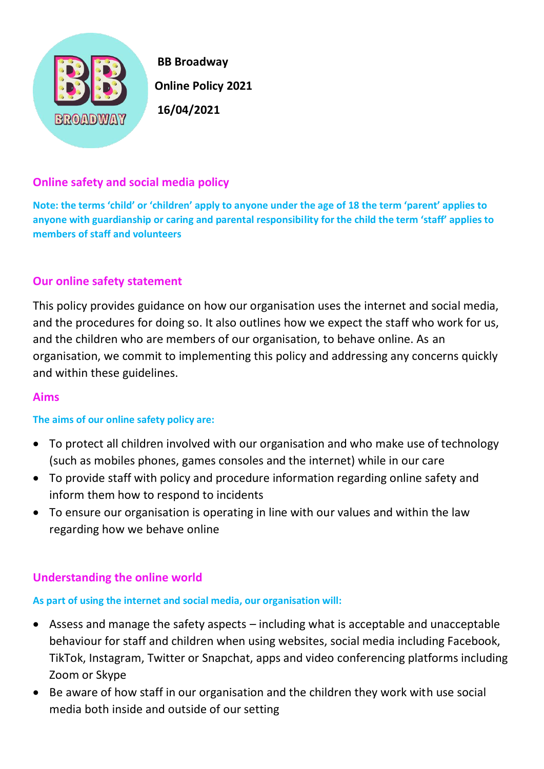

 **BB Broadway Online Policy 2021** 

# **Online safety and social media policy**

**Note: the terms 'child' or 'children' apply to anyone under the age of 18 the term 'parent' applies to anyone with guardianship or caring and parental responsibility for the child the term 'staff' applies to members of staff and volunteers** 

### **Our online safety statement**

This policy provides guidance on how our organisation uses the internet and social media, and the procedures for doing so. It also outlines how we expect the staff who work for us, and the children who are members of our organisation, to behave online. As an organisation, we commit to implementing this policy and addressing any concerns quickly and within these guidelines.

### **Aims**

#### **The aims of our online safety policy are:**

- To protect all children involved with our organisation and who make use of technology (such as mobiles phones, games consoles and the internet) while in our care
- To provide staff with policy and procedure information regarding online safety and inform them how to respond to incidents
- To ensure our organisation is operating in line with our values and within the law regarding how we behave online

# **Understanding the online world**

# **As part of using the internet and social media, our organisation will:**

- Assess and manage the safety aspects including what is acceptable and unacceptable behaviour for staff and children when using websites, social media including Facebook, TikTok, Instagram, Twitter or Snapchat, apps and video conferencing platforms including Zoom or Skype
- Be aware of how staff in our organisation and the children they work with use social media both inside and outside of our setting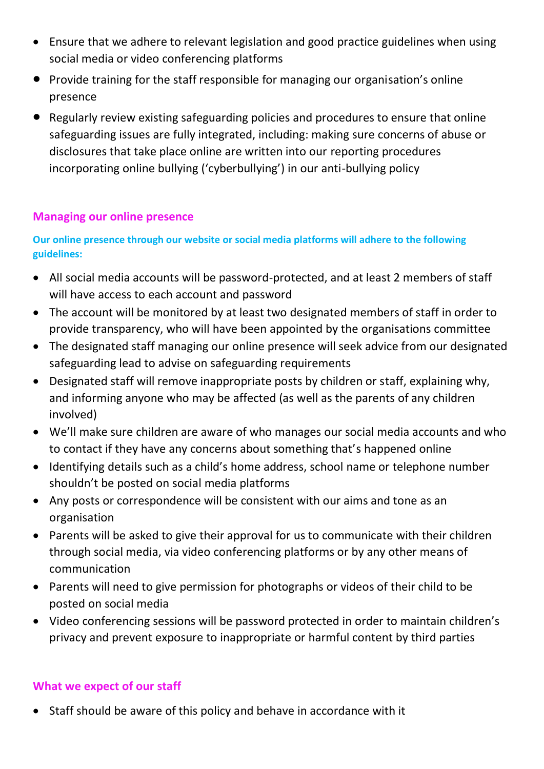- Ensure that we adhere to relevant legislation and good practice guidelines when using social media or video conferencing platforms
- Provide training for the staff responsible for managing our organisation's online presence
- Regularly review existing safeguarding policies and procedures to ensure that online safeguarding issues are fully integrated, including: making sure concerns of abuse or disclosures that take place online are written into our reporting procedures incorporating online bullying ('cyberbullying') in our anti-bullying policy

### **Managing our online presence**

### **Our online presence through our website or social media platforms will adhere to the following guidelines:**

- All social media accounts will be password-protected, and at least 2 members of staff will have access to each account and password
- The account will be monitored by at least two designated members of staff in order to provide transparency, who will have been appointed by the organisations committee
- The designated staff managing our online presence will seek advice from our designated safeguarding lead to advise on safeguarding requirements
- Designated staff will remove inappropriate posts by children or staff, explaining why, and informing anyone who may be affected (as well as the parents of any children involved)
- We'll make sure children are aware of who manages our social media accounts and who to contact if they have any concerns about something that's happened online
- Identifying details such as a child's home address, school name or telephone number shouldn't be posted on social media platforms
- Any posts or correspondence will be consistent with our aims and tone as an organisation
- Parents will be asked to give their approval for us to communicate with their children through social media, via video conferencing platforms or by any other means of communication
- Parents will need to give permission for photographs or videos of their child to be posted on social media
- Video conferencing sessions will be password protected in order to maintain children's privacy and prevent exposure to inappropriate or harmful content by third parties

### **What we expect of our staff**

• Staff should be aware of this policy and behave in accordance with it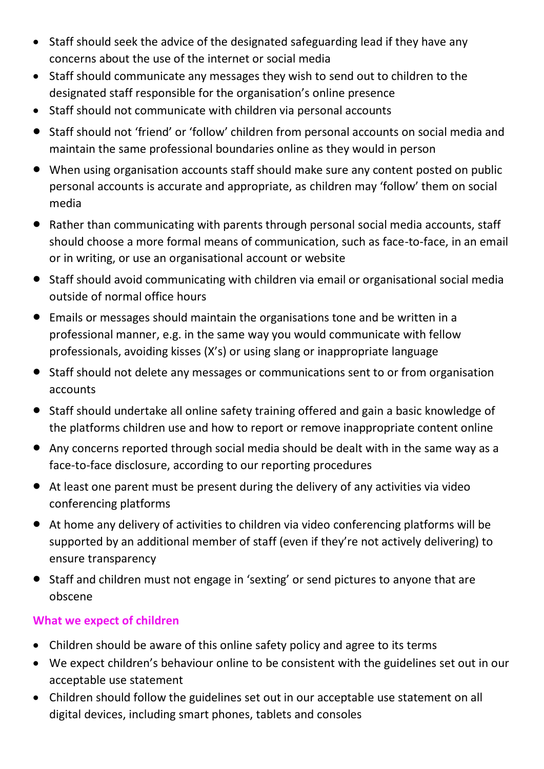- Staff should seek the advice of the designated safeguarding lead if they have any concerns about the use of the internet or social media
- Staff should communicate any messages they wish to send out to children to the designated staff responsible for the organisation's online presence
- Staff should not communicate with children via personal accounts
- Staff should not 'friend' or 'follow' children from personal accounts on social media and maintain the same professional boundaries online as they would in person
- When using organisation accounts staff should make sure any content posted on public personal accounts is accurate and appropriate, as children may 'follow' them on social media
- Rather than communicating with parents through personal social media accounts, staff should choose a more formal means of communication, such as face-to-face, in an email or in writing, or use an organisational account or website
- Staff should avoid communicating with children via email or organisational social media outside of normal office hours
- Emails or messages should maintain the organisations tone and be written in a professional manner, e.g. in the same way you would communicate with fellow professionals, avoiding kisses (X's) or using slang or inappropriate language
- Staff should not delete any messages or communications sent to or from organisation accounts
- Staff should undertake all online safety training offered and gain a basic knowledge of the platforms children use and how to report or remove inappropriate content online
- Any concerns reported through social media should be dealt with in the same way as a face-to-face disclosure, according to our reporting procedures
- At least one parent must be present during the delivery of any activities via video conferencing platforms
- At home any delivery of activities to children via video conferencing platforms will be supported by an additional member of staff (even if they're not actively delivering) to ensure transparency
- Staff and children must not engage in 'sexting' or send pictures to anyone that are obscene

# **What we expect of children**

- Children should be aware of this online safety policy and agree to its terms
- We expect children's behaviour online to be consistent with the guidelines set out in our acceptable use statement
- Children should follow the guidelines set out in our acceptable use statement on all digital devices, including smart phones, tablets and consoles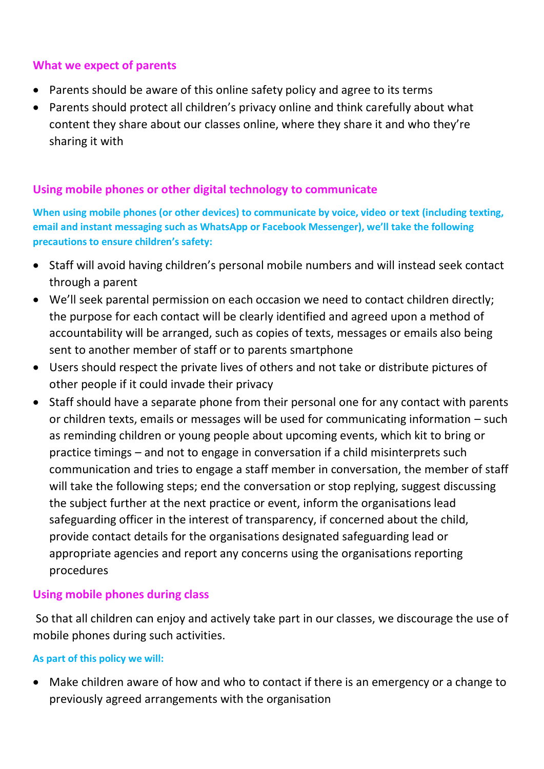### **What we expect of parents**

- Parents should be aware of this online safety policy and agree to its terms
- Parents should protect all children's privacy online and think carefully about what content they share about our classes online, where they share it and who they're sharing it with

# **Using mobile phones or other digital technology to communicate**

**When using mobile phones (or other devices) to communicate by voice, video or text (including texting, email and instant messaging such as WhatsApp or Facebook Messenger), we'll take the following precautions to ensure children's safety:**

- Staff will avoid having children's personal mobile numbers and will instead seek contact through a parent
- We'll seek parental permission on each occasion we need to contact children directly; the purpose for each contact will be clearly identified and agreed upon a method of accountability will be arranged, such as copies of texts, messages or emails also being sent to another member of staff or to parents smartphone
- Users should respect the private lives of others and not take or distribute pictures of other people if it could invade their privacy
- Staff should have a separate phone from their personal one for any contact with parents or children texts, emails or messages will be used for communicating information – such as reminding children or young people about upcoming events, which kit to bring or practice timings – and not to engage in conversation if a child misinterprets such communication and tries to engage a staff member in conversation, the member of staff will take the following steps; end the conversation or stop replying, suggest discussing the subject further at the next practice or event, inform the organisations lead safeguarding officer in the interest of transparency, if concerned about the child, provide contact details for the organisations designated safeguarding lead or appropriate agencies and report any concerns using the organisations reporting procedures

### **Using mobile phones during class**

So that all children can enjoy and actively take part in our classes, we discourage the use of mobile phones during such activities.

#### **As part of this policy we will:**

Make children aware of how and who to contact if there is an emergency or a change to previously agreed arrangements with the organisation